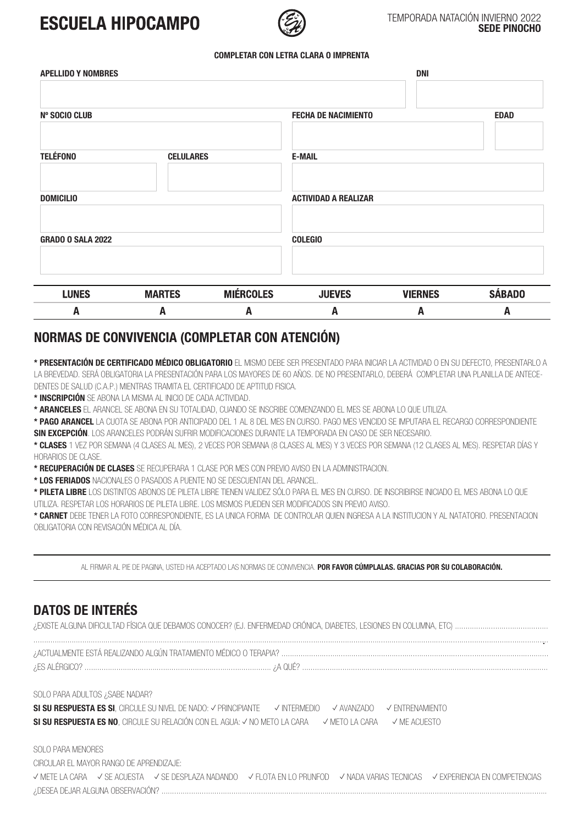# **ESCUELA HIPOCAMPO**



### TEMPORADA NATACIÓN INVIERNO 2022 **SEDE PINOCHO**

### **COMPLETAR CON LETRA CLARA O IMPRENTA**

| <b>APELLIDO Y NOMBRES</b> |                  |                  |                             | <b>DNI</b>     |               |
|---------------------------|------------------|------------------|-----------------------------|----------------|---------------|
| <b>Nº SOCIO CLUB</b>      |                  |                  | <b>FECHA DE NACIMIENTO</b>  |                | <b>EDAD</b>   |
| <b>TELÉFONO</b>           | <b>CELULARES</b> |                  | <b>E-MAIL</b>               |                |               |
| <b>DOMICILIO</b>          |                  |                  | <b>ACTIVIDAD A REALIZAR</b> |                |               |
| <b>GRADO O SALA 2022</b>  |                  |                  | <b>COLEGIO</b>              |                |               |
| <b>LUNES</b>              | <b>MARTES</b>    | <b>MIÉRCOLES</b> | <b>JUEVES</b>               | <b>VIERNES</b> | <b>SÁBADO</b> |
| A                         | A                | Α                | A                           | A              | A             |

# **NORMAS DE CONVIVENCIA (COMPLETAR CON ATENCIÓN)**

**\* PRESENTACIÓN DE CERTIFICADO MÉDICO OBLIGATORIO** EL MISMO DEBE SER PRESENTADO PARA INICIAR LA ACTIVIDAD O EN SU DEFECTO, PRESENTARLO A LA BREVEDAD. SERÁ OBLIGATORIA LA PRESENTACIÓN PARA LOS MAYORES DE 60 AÑOS. DE NO PRESENTARLO, DEBERÁ COMPLETAR UNA PLANILLA DE ANTECE-DENTES DE SALUD (C.A.P.) MIENTRAS TRAMITA EL CERTIFICADO DE APTITUD FISICA.

**\* INSCRIPCIÓN** SE ABONA LA MISMA AL INICIO DE CADA ACTIVIDAD.

**\* ARANCELES** EL ARANCEL SE ABONA EN SU TOTALIDAD, CUANDO SE INSCRIBE COMENZANDO EL MES SE ABONA LO QUE UTILIZA.

**\* PAGO ARANCEL** LA CUOTA SE ABONA POR ANTICIPADO DEL 1 AL 8 DEL MES EN CURSO. PAGO MES VENCIDO SE IMPUTARA EL RECARGO CORRESPONDIENTE **SIN EXCEPCIÓN**. LOS ARANCELES PODRÁN SUFRIR MODIFICACIONES DURANTE LA TEMPORADA EN CASO DE SER NECESARIO.

**\* CLASES** 1 VEZ POR SEMANA (4 CLASES AL MES), 2 VECES POR SEMANA (8 CLASES AL MES) Y 3 VECES POR SEMANA (12 CLASES AL MES). RESPETAR DÍAS Y HORARIOS DE CLASE.

**\* RECUPERACIÓN DE CLASES** SE RECUPERARA 1 CLASE POR MES CON PREVIO AVISO EN LA ADMINISTRACION.

**\* LOS FERIADOS** NACIONALES O PASADOS A PUENTE NO SE DESCUENTAN DEL ARANCEL.

**\* PILETA LIBRE** LOS DISTINTOS ABONOS DE PILETA LIBRE TIENEN VALIDEZ SÓLO PARA EL MES EN CURSO. DE INSCRIBIRSE INICIADO EL MES ABONA LO QUE UTILIZA. RESPETAR LOS HORARIOS DE PILETA LIBRE. LOS MISMOS PUEDEN SER MODIFICADOS SIN PREVIO AVISO.

**\* CARNET** DEBE TENER LA FOTO CORRESPONDIENTE, ES LA UNICA FORMA DE CONTROLAR QUIEN INGRESA A LA INSTITUCION Y AL NATATORIO. PRESENTACION OBLIGATORIA CON REVISACIÓN MÉDICA AL DÍA.

AL FIRMAR AL PIE DE PAGINA, USTED HA ACEPTADO LAS NORMAS DE CONVIVENCIA. **POR FAVOR CÚMPLALAS. GRACIAS POR SU COLABORACIÓN.**

## **DATOS DE INTERÉS**

¿EXISTE ALGUNA DIFICULTAD FÍSICA QUE DEBAMOS CONOCER? (EJ. ENFERMEDAD CRÓNICA, DIABETES, LESIONES EN COLUMNA, ETC) ............................................

................................................................................................................................................................................................................................................... ¿ACTUALMENTE ESTÁ REALIZANDO ALGÚN TRATAMIENTO MÉDICO O TERAPIA? .............................................................................................................................. ¿ES ALÉRGICO? ........................................................................................ ¿A QUÉ? ....................................................................................................................

SOLO PARA ADULTOS ¿SABE NADAR?

SI SU RESPUESTA ES SI, CIRCULE SU NIVEL DE NADO: √ PRINCIPIANTE √ INTERMEDIO √ AVANZADO √ ENTRENAMIENTO SI SU RESPUESTA ES NO, CIRCULE SU RELACIÓN CON EL AGUA: √ NO METO LA CARA √ METO LA CARA √ ME ACUESTO

SOLO PARA MENORES CIRCULAR EL MAYOR RANGO DE APRENDIZAJE: ✓ METE LA CARA ✓ SE ACUESTA ✓ SE DESPLAZA NADANDO ✓ FLOTA EN LO PRUNFOD ✓ NADA VARIAS TECNICAS ✓ EXPERIENCIA EN COMPETENCIAS ¿DESEA DEJAR ALGUNA OBSERVACIÓN? ......................................................................................................................................................................................